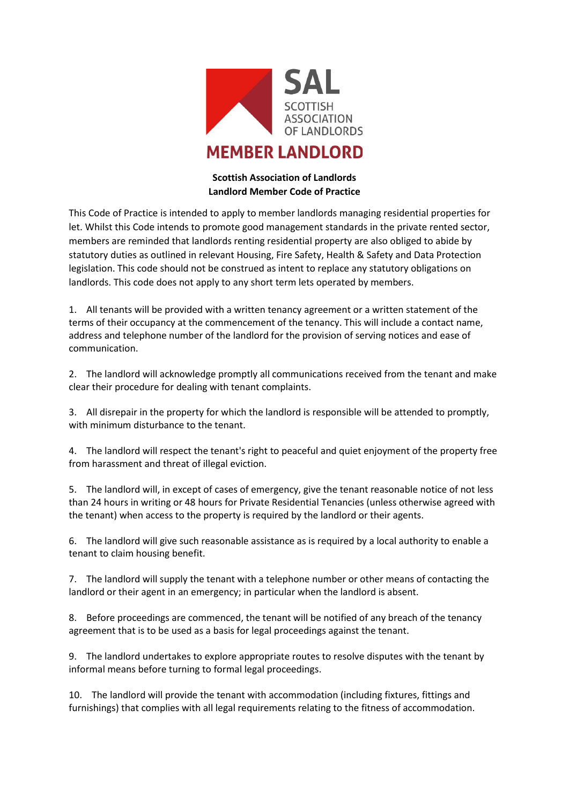

## **MEMBER LANDLORD**

## **Scottish Association of Landlords Landlord Member Code of Practice**

This Code of Practice is intended to apply to member landlords managing residential properties for let. Whilst this Code intends to promote good management standards in the private rented sector, members are reminded that landlords renting residential property are also obliged to abide by statutory duties as outlined in relevant Housing, Fire Safety, Health & Safety and Data Protection legislation. This code should not be construed as intent to replace any statutory obligations on landlords. This code does not apply to any short term lets operated by members.

1. All tenants will be provided with a written tenancy agreement or a written statement of the terms of their occupancy at the commencement of the tenancy. This will include a contact name, address and telephone number of the landlord for the provision of serving notices and ease of communication.

2. The landlord will acknowledge promptly all communications received from the tenant and make clear their procedure for dealing with tenant complaints.

3. All disrepair in the property for which the landlord is responsible will be attended to promptly, with minimum disturbance to the tenant.

4. The landlord will respect the tenant's right to peaceful and quiet enjoyment of the property free from harassment and threat of illegal eviction.

5. The landlord will, in except of cases of emergency, give the tenant reasonable notice of not less than 24 hours in writing or 48 hours for Private Residential Tenancies (unless otherwise agreed with the tenant) when access to the property is required by the landlord or their agents.

6. The landlord will give such reasonable assistance as is required by a local authority to enable a tenant to claim housing benefit.

7. The landlord will supply the tenant with a telephone number or other means of contacting the landlord or their agent in an emergency; in particular when the landlord is absent.

8. Before proceedings are commenced, the tenant will be notified of any breach of the tenancy agreement that is to be used as a basis for legal proceedings against the tenant.

9. The landlord undertakes to explore appropriate routes to resolve disputes with the tenant by informal means before turning to formal legal proceedings.

10. The landlord will provide the tenant with accommodation (including fixtures, fittings and furnishings) that complies with all legal requirements relating to the fitness of accommodation.